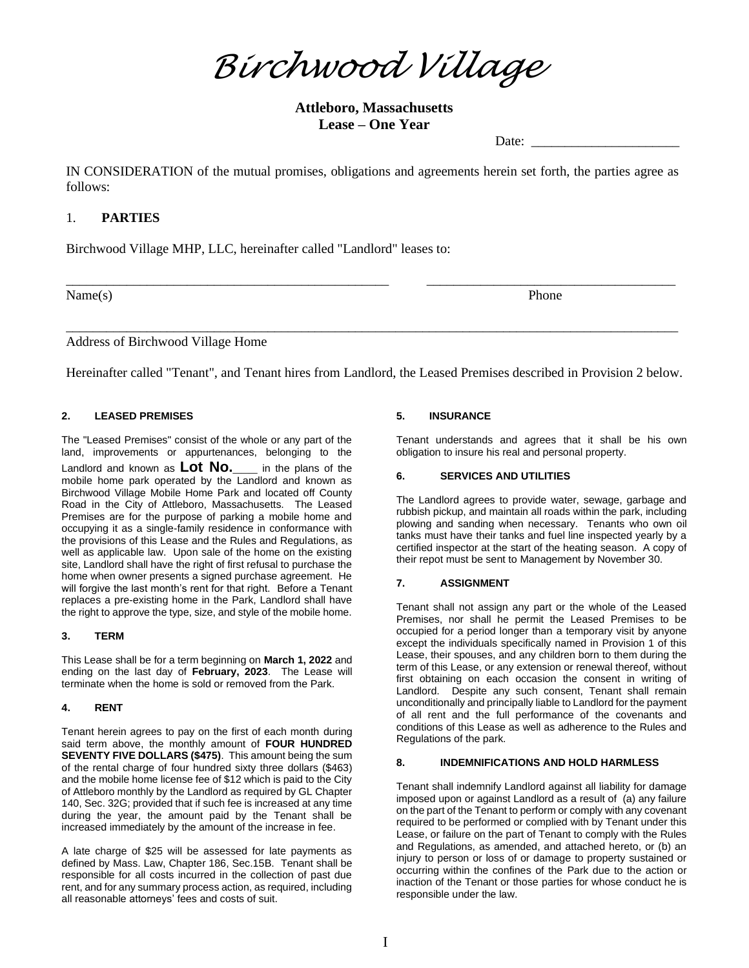*Birchwood Village*

**Attleboro, Massachusetts Lease – One Year**

Date:

IN CONSIDERATION of the mutual promises, obligations and agreements herein set forth, the parties agree as follows:

# 1. **PARTIES**

Birchwood Village MHP, LLC, hereinafter called "Landlord" leases to:

Name(s) Phone

Address of Birchwood Village Home

Hereinafter called "Tenant", and Tenant hires from Landlord, the Leased Premises described in Provision 2 below.

\_\_\_\_\_\_\_\_\_\_\_\_\_\_\_\_\_\_\_\_\_\_\_\_\_\_\_\_\_\_\_\_\_\_\_\_\_\_\_\_\_\_\_\_\_\_\_\_ \_\_\_\_\_\_\_\_\_\_\_\_\_\_\_\_\_\_\_\_\_\_\_\_\_\_\_\_\_\_\_\_\_\_\_\_\_

\_\_\_\_\_\_\_\_\_\_\_\_\_\_\_\_\_\_\_\_\_\_\_\_\_\_\_\_\_\_\_\_\_\_\_\_\_\_\_\_\_\_\_\_\_\_\_\_\_\_\_\_\_\_\_\_\_\_\_\_\_\_\_\_\_\_\_\_\_\_\_\_\_\_\_\_\_\_\_\_\_\_\_\_\_\_\_\_\_\_\_

## **2. LEASED PREMISES**

The "Leased Premises" consist of the whole or any part of the land, improvements or appurtenances, belonging to the Landlord and known as **Lot No.\_\_\_** in the plans of the mobile home park operated by the Landlord and known as Birchwood Village Mobile Home Park and located off County Road in the City of Attleboro, Massachusetts. The Leased Premises are for the purpose of parking a mobile home and occupying it as a single-family residence in conformance with the provisions of this Lease and the Rules and Regulations, as well as applicable law. Upon sale of the home on the existing site, Landlord shall have the right of first refusal to purchase the home when owner presents a signed purchase agreement. He will forgive the last month's rent for that right. Before a Tenant replaces a pre-existing home in the Park, Landlord shall have the right to approve the type, size, and style of the mobile home.

## **3. TERM**

This Lease shall be for a term beginning on **March 1, 2022** and ending on the last day of **February, 2023**. The Lease will terminate when the home is sold or removed from the Park.

## **4. RENT**

Tenant herein agrees to pay on the first of each month during said term above, the monthly amount of **FOUR HUNDRED SEVENTY FIVE DOLLARS (\$475)**. This amount being the sum of the rental charge of four hundred sixty three dollars (\$463) and the mobile home license fee of \$12 which is paid to the City of Attleboro monthly by the Landlord as required by GL Chapter 140, Sec. 32G; provided that if such fee is increased at any time during the year, the amount paid by the Tenant shall be increased immediately by the amount of the increase in fee.

A late charge of \$25 will be assessed for late payments as defined by Mass. Law, Chapter 186, Sec.15B. Tenant shall be responsible for all costs incurred in the collection of past due rent, and for any summary process action, as required, including all reasonable attorneys' fees and costs of suit.

## **5. INSURANCE**

Tenant understands and agrees that it shall be his own obligation to insure his real and personal property.

## **6. SERVICES AND UTILITIES**

The Landlord agrees to provide water, sewage, garbage and rubbish pickup, and maintain all roads within the park, including plowing and sanding when necessary. Tenants who own oil tanks must have their tanks and fuel line inspected yearly by a certified inspector at the start of the heating season. A copy of their repot must be sent to Management by November 30.

## **7. ASSIGNMENT**

Tenant shall not assign any part or the whole of the Leased Premises, nor shall he permit the Leased Premises to be occupied for a period longer than a temporary visit by anyone except the individuals specifically named in Provision 1 of this Lease, their spouses, and any children born to them during the term of this Lease, or any extension or renewal thereof, without first obtaining on each occasion the consent in writing of Landlord. Despite any such consent, Tenant shall remain unconditionally and principally liable to Landlord for the payment of all rent and the full performance of the covenants and conditions of this Lease as well as adherence to the Rules and Regulations of the park.

## **8. INDEMNIFICATIONS AND HOLD HARMLESS**

Tenant shall indemnify Landlord against all liability for damage imposed upon or against Landlord as a result of (a) any failure on the part of the Tenant to perform or comply with any covenant required to be performed or complied with by Tenant under this Lease, or failure on the part of Tenant to comply with the Rules and Regulations, as amended, and attached hereto, or (b) an injury to person or loss of or damage to property sustained or occurring within the confines of the Park due to the action or inaction of the Tenant or those parties for whose conduct he is responsible under the law.